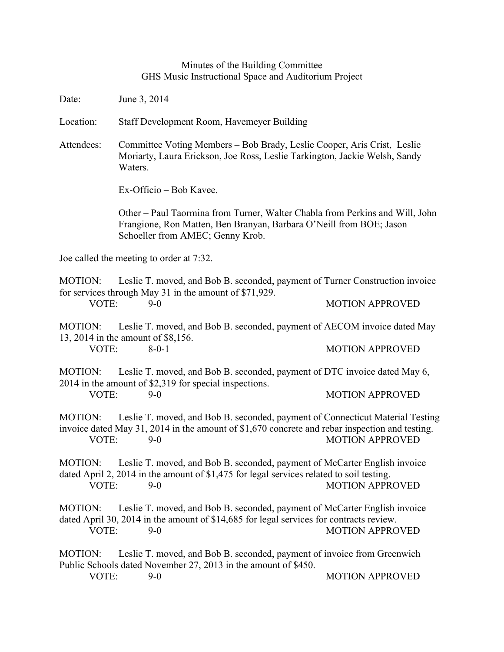## Minutes of the Building Committee GHS Music Instructional Space and Auditorium Project

Date: June 3, 2014

Location: Staff Development Room, Havemeyer Building

Attendees: Committee Voting Members – Bob Brady, Leslie Cooper, Aris Crist, Leslie Moriarty, Laura Erickson, Joe Ross, Leslie Tarkington, Jackie Welsh, Sandy Waters.

Ex-Officio – Bob Kavee.

Other – Paul Taormina from Turner, Walter Chabla from Perkins and Will, John Frangione, Ron Matten, Ben Branyan, Barbara O'Neill from BOE; Jason Schoeller from AMEC; Genny Krob.

Joe called the meeting to order at 7:32.

MOTION: Leslie T. moved, and Bob B. seconded, payment of Turner Construction invoice for services through May 31 in the amount of \$71,929. VOTE: 9-0 MOTION APPROVED

MOTION: Leslie T. moved, and Bob B. seconded, payment of AECOM invoice dated May 13, 2014 in the amount of \$8,156. VOTE: 8-0-1 8-0-1 MOTION APPROVED

MOTION: Leslie T. moved, and Bob B. seconded, payment of DTC invoice dated May 6, 2014 in the amount of \$2,319 for special inspections. VOTE: 9-0 9-0 MOTION APPROVED

MOTION: Leslie T. moved, and Bob B. seconded, payment of Connecticut Material Testing invoice dated May 31, 2014 in the amount of \$1,670 concrete and rebar inspection and testing. VOTE: 9-0 9-0 MOTION APPROVED

MOTION: Leslie T. moved, and Bob B. seconded, payment of McCarter English invoice dated April 2, 2014 in the amount of \$1,475 for legal services related to soil testing. VOTE: 9-0 MOTION APPROVED

MOTION: Leslie T. moved, and Bob B. seconded, payment of McCarter English invoice dated April 30, 2014 in the amount of \$14,685 for legal services for contracts review. VOTE: 9-0 9-0 MOTION APPROVED

MOTION: Leslie T. moved, and Bob B. seconded, payment of invoice from Greenwich Public Schools dated November 27, 2013 in the amount of \$450.

VOTE: 9-0 9-0 MOTION APPROVED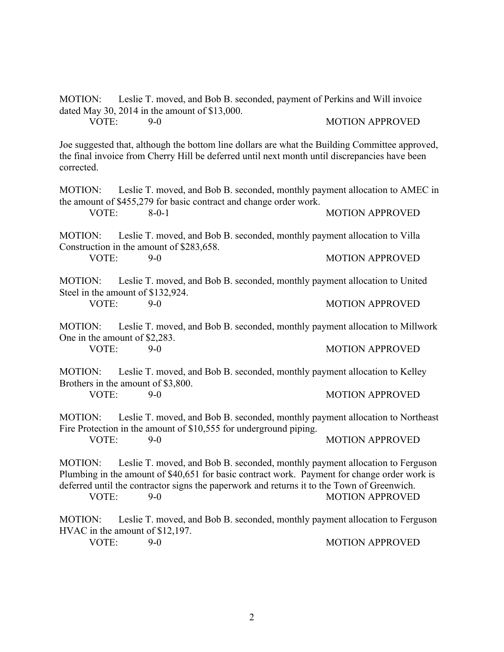MOTION: Leslie T. moved, and Bob B. seconded, payment of Perkins and Will invoice dated May 30, 2014 in the amount of \$13,000. VOTE: 9-0 MOTION APPROVED

Joe suggested that, although the bottom line dollars are what the Building Committee approved, the final invoice from Cherry Hill be deferred until next month until discrepancies have been corrected.

MOTION: Leslie T. moved, and Bob B. seconded, monthly payment allocation to AMEC in the amount of \$455,279 for basic contract and change order work.

VOTE: 8-0-1 8-0-1 MOTION APPROVED

MOTION: Leslie T. moved, and Bob B. seconded, monthly payment allocation to Villa Construction in the amount of \$283,658.

VOTE: 9-0 9-0 MOTION APPROVED

MOTION: Leslie T. moved, and Bob B. seconded, monthly payment allocation to United Steel in the amount of \$132,924.

VOTE: 9-0 9-0 MOTION APPROVED

MOTION: Leslie T. moved, and Bob B. seconded, monthly payment allocation to Millwork One in the amount of \$2,283.

VOTE: 9-0 9-0 MOTION APPROVED

MOTION: Leslie T. moved, and Bob B. seconded, monthly payment allocation to Kelley Brothers in the amount of \$3,800.

VOTE: 9-0 9-0 MOTION APPROVED

MOTION: Leslie T. moved, and Bob B. seconded, monthly payment allocation to Northeast Fire Protection in the amount of \$10,555 for underground piping.

VOTE: 9-0 9-0 MOTION APPROVED

MOTION: Leslie T. moved, and Bob B. seconded, monthly payment allocation to Ferguson Plumbing in the amount of \$40,651 for basic contract work. Payment for change order work is deferred until the contractor signs the paperwork and returns it to the Town of Greenwich. VOTE: 9-0 9-0 MOTION APPROVED

MOTION: Leslie T. moved, and Bob B. seconded, monthly payment allocation to Ferguson HVAC in the amount of \$12,197.

VOTE: 9-0 9-0 MOTION APPROVED